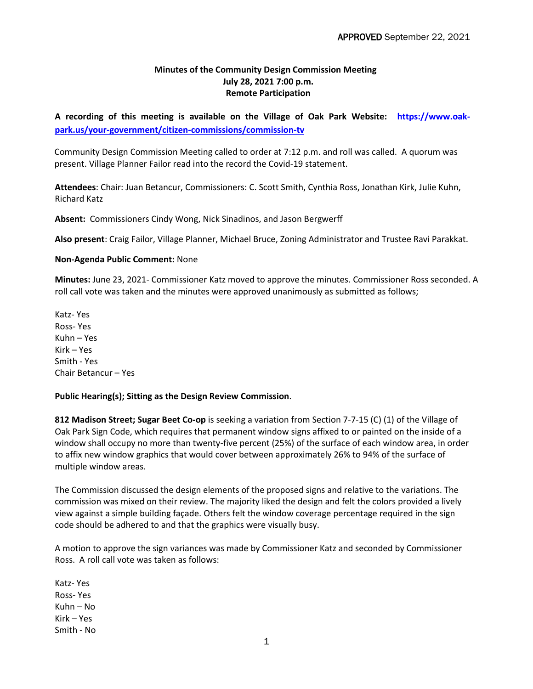## **Minutes of the Community Design Commission Meeting July 28, 2021 7:00 p.m. Remote Participation**

**A recording of this meeting is available on the Village of Oak Park Website: [https://www.oak](https://www.oak-park.us/your-government/citizen-commissions/commission-tv)[park.us/your-government/citizen-commissions/commission-tv](https://www.oak-park.us/your-government/citizen-commissions/commission-tv)**

Community Design Commission Meeting called to order at 7:12 p.m. and roll was called. A quorum was present. Village Planner Failor read into the record the Covid-19 statement.

**Attendees**: Chair: Juan Betancur, Commissioners: C. Scott Smith, Cynthia Ross, Jonathan Kirk, Julie Kuhn, Richard Katz

**Absent:** Commissioners Cindy Wong, Nick Sinadinos, and Jason Bergwerff

**Also present**: Craig Failor, Village Planner, Michael Bruce, Zoning Administrator and Trustee Ravi Parakkat.

## **Non-Agenda Public Comment:** None

**Minutes:** June 23, 2021- Commissioner Katz moved to approve the minutes. Commissioner Ross seconded. A roll call vote was taken and the minutes were approved unanimously as submitted as follows;

Katz- Yes Ross- Yes Kuhn – Yes Kirk – Yes Smith - Yes Chair Betancur – Yes

## **Public Hearing(s); Sitting as the Design Review Commission**.

**812 Madison Street; Sugar Beet Co-op** is seeking a variation from Section 7-7-15 (C) (1) of the Village of Oak Park Sign Code, which requires that permanent window signs affixed to or painted on the inside of a window shall occupy no more than twenty-five percent (25%) of the surface of each window area, in order to affix new window graphics that would cover between approximately 26% to 94% of the surface of multiple window areas.

The Commission discussed the design elements of the proposed signs and relative to the variations. The commission was mixed on their review. The majority liked the design and felt the colors provided a lively view against a simple building façade. Others felt the window coverage percentage required in the sign code should be adhered to and that the graphics were visually busy.

A motion to approve the sign variances was made by Commissioner Katz and seconded by Commissioner Ross. A roll call vote was taken as follows:

Katz- Yes Ross- Yes Kuhn – No Kirk – Yes Smith - No